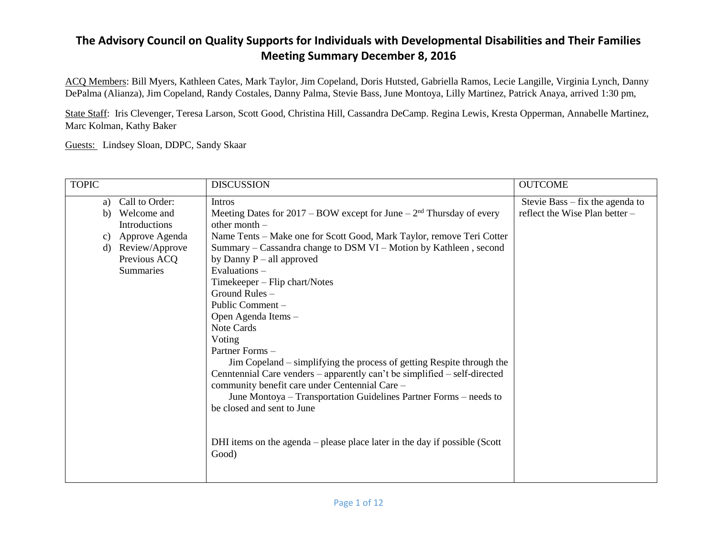ACQ Members: Bill Myers, Kathleen Cates, Mark Taylor, Jim Copeland, Doris Hutsted, Gabriella Ramos, Lecie Langille, Virginia Lynch, Danny DePalma (Alianza), Jim Copeland, Randy Costales, Danny Palma, Stevie Bass, June Montoya, Lilly Martinez, Patrick Anaya, arrived 1:30 pm,

State Staff: Iris Clevenger, Teresa Larson, Scott Good, Christina Hill, Cassandra DeCamp. Regina Lewis, Kresta Opperman, Annabelle Martinez, Marc Kolman, Kathy Baker

Guests: Lindsey Sloan, DDPC, Sandy Skaar

| <b>TOPIC</b>                                                                                                                                          | <b>DISCUSSION</b>                                                                                                                                                                                                                                                                                                                                                                                                                                                                                                                                                                                                                                                                                                                                                                                                                                     | <b>OUTCOME</b>                                                      |
|-------------------------------------------------------------------------------------------------------------------------------------------------------|-------------------------------------------------------------------------------------------------------------------------------------------------------------------------------------------------------------------------------------------------------------------------------------------------------------------------------------------------------------------------------------------------------------------------------------------------------------------------------------------------------------------------------------------------------------------------------------------------------------------------------------------------------------------------------------------------------------------------------------------------------------------------------------------------------------------------------------------------------|---------------------------------------------------------------------|
| Call to Order:<br>a)<br>Welcome and<br>b)<br><b>Introductions</b><br>Approve Agenda<br>C)<br>Review/Approve<br>d)<br>Previous ACQ<br><b>Summaries</b> | <b>Intros</b><br>Meeting Dates for $2017 - BOW$ except for June $-2nd$ Thursday of every<br>other month $-$<br>Name Tents - Make one for Scott Good, Mark Taylor, remove Teri Cotter<br>Summary – Cassandra change to DSM VI – Motion by Kathleen, second<br>by Danny $P - all$ approved<br>Evaluations-<br>Timekeeper – Flip chart/Notes<br>Ground Rules $-$<br>Public Comment –<br>Open Agenda Items -<br>Note Cards<br>Voting<br>Partner Forms -<br>Jim Copeland – simplifying the process of getting Respite through the<br>Cenntennial Care venders - apparently can't be simplified - self-directed<br>community benefit care under Centennial Care -<br>June Montoya – Transportation Guidelines Partner Forms – needs to<br>be closed and sent to June<br>DHI items on the agenda – please place later in the day if possible (Scott<br>Good) | Stevie Bass $-$ fix the agenda to<br>reflect the Wise Plan better - |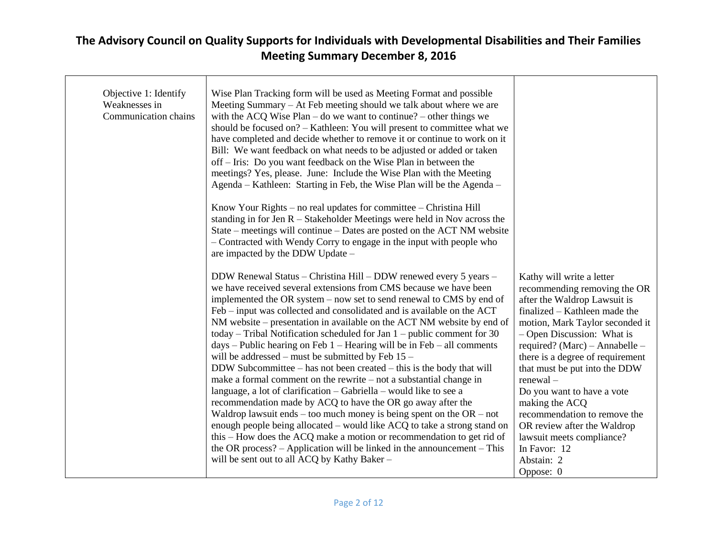| Objective 1: Identify<br>Weaknesses in<br>Communication chains | Wise Plan Tracking form will be used as Meeting Format and possible<br>Meeting Summary – At Feb meeting should we talk about where we are<br>with the ACQ Wise Plan – do we want to continue? – other things we<br>should be focused on? - Kathleen: You will present to committee what we<br>have completed and decide whether to remove it or continue to work on it<br>Bill: We want feedback on what needs to be adjusted or added or taken<br>off – Iris: Do you want feedback on the Wise Plan in between the<br>meetings? Yes, please. June: Include the Wise Plan with the Meeting<br>Agenda – Kathleen: Starting in Feb, the Wise Plan will be the Agenda –<br>Know Your Rights – no real updates for committee – Christina Hill<br>standing in for Jen $R -$ Stakeholder Meetings were held in Nov across the<br>State – meetings will continue – Dates are posted on the ACT NM website<br>- Contracted with Wendy Corry to engage in the input with people who                                                                                        |                                                                                                                                                                                                                                                                                                                                                                                                                                  |
|----------------------------------------------------------------|-------------------------------------------------------------------------------------------------------------------------------------------------------------------------------------------------------------------------------------------------------------------------------------------------------------------------------------------------------------------------------------------------------------------------------------------------------------------------------------------------------------------------------------------------------------------------------------------------------------------------------------------------------------------------------------------------------------------------------------------------------------------------------------------------------------------------------------------------------------------------------------------------------------------------------------------------------------------------------------------------------------------------------------------------------------------|----------------------------------------------------------------------------------------------------------------------------------------------------------------------------------------------------------------------------------------------------------------------------------------------------------------------------------------------------------------------------------------------------------------------------------|
|                                                                | are impacted by the DDW Update -<br>DDW Renewal Status – Christina Hill – DDW renewed every 5 years –<br>we have received several extensions from CMS because we have been<br>implemented the OR system – now set to send renewal to CMS by end of<br>Feb – input was collected and consolidated and is available on the ACT<br>NM website – presentation in available on the ACT NM website by end of<br>today – Tribal Notification scheduled for Jan $1$ – public comment for 30<br>$days - Public hearing on Feb 1 - Hearing will be in Feb - all comments$<br>will be addressed – must be submitted by Feb $15$ –<br>DDW Subcommittee – has not been created – this is the body that will<br>make a formal comment on the rewrite $-$ not a substantial change in<br>language, a lot of clarification - Gabriella - would like to see a<br>recommendation made by ACQ to have the OR go away after the<br>Waldrop lawsuit ends – too much money is being spent on the $OR - not$<br>enough people being allocated – would like ACQ to take a strong stand on | Kathy will write a letter<br>recommending removing the OR<br>after the Waldrop Lawsuit is<br>finalized – Kathleen made the<br>motion, Mark Taylor seconded it<br>- Open Discussion: What is<br>required? (Marc) - Annabelle -<br>there is a degree of requirement<br>that must be put into the DDW<br>$renewal -$<br>Do you want to have a vote<br>making the ACQ<br>recommendation to remove the<br>OR review after the Waldrop |
|                                                                | this – How does the ACQ make a motion or recommendation to get rid of<br>the OR process? $-$ Application will be linked in the announcement $-$ This<br>will be sent out to all ACQ by Kathy Baker -                                                                                                                                                                                                                                                                                                                                                                                                                                                                                                                                                                                                                                                                                                                                                                                                                                                              | lawsuit meets compliance?<br>In Favor: 12<br>Abstain: 2<br>Oppose: 0                                                                                                                                                                                                                                                                                                                                                             |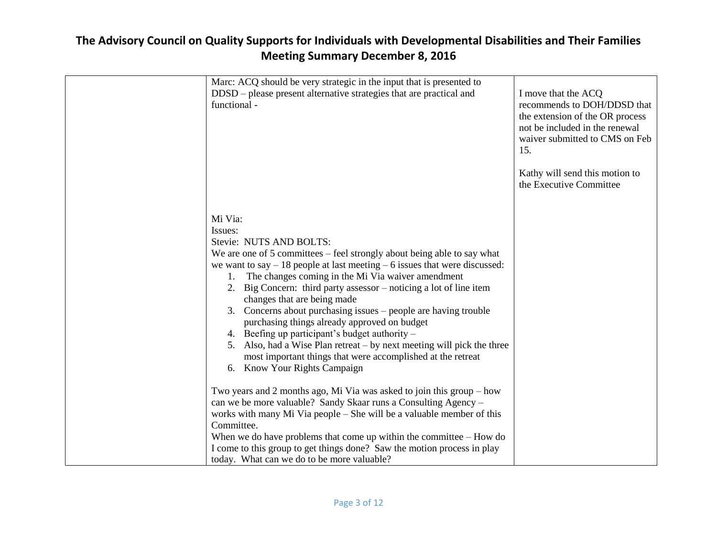| Marc: ACQ should be very strategic in the input that is presented to<br>DDSD – please present alternative strategies that are practical and<br>functional -                                                                                                                                                                                                                                                                                                                                                                                                                                                                                                                                                             | I move that the ACQ<br>recommends to DOH/DDSD that<br>the extension of the OR process<br>not be included in the renewal<br>waiver submitted to CMS on Feb<br>15.<br>Kathy will send this motion to<br>the Executive Committee |
|-------------------------------------------------------------------------------------------------------------------------------------------------------------------------------------------------------------------------------------------------------------------------------------------------------------------------------------------------------------------------------------------------------------------------------------------------------------------------------------------------------------------------------------------------------------------------------------------------------------------------------------------------------------------------------------------------------------------------|-------------------------------------------------------------------------------------------------------------------------------------------------------------------------------------------------------------------------------|
| Mi Via:<br>Issues:<br>Stevie: NUTS AND BOLTS:<br>We are one of $5$ committees $-$ feel strongly about being able to say what<br>we want to say $-18$ people at last meeting $-6$ issues that were discussed:<br>1. The changes coming in the Mi Via waiver amendment<br>2. Big Concern: third party assessor – noticing a lot of line item<br>changes that are being made<br>3. Concerns about purchasing issues – people are having trouble<br>purchasing things already approved on budget<br>4. Beefing up participant's budget authority –<br>5. Also, had a Wise Plan retreat – by next meeting will pick the three<br>most important things that were accomplished at the retreat<br>6. Know Your Rights Campaign |                                                                                                                                                                                                                               |
| Two years and 2 months ago, Mi Via was asked to join this group – how<br>can we be more valuable? Sandy Skaar runs a Consulting Agency –<br>works with many Mi Via people – She will be a valuable member of this<br>Committee.<br>When we do have problems that come up within the committee $-$ How do<br>I come to this group to get things done? Saw the motion process in play<br>today. What can we do to be more valuable?                                                                                                                                                                                                                                                                                       |                                                                                                                                                                                                                               |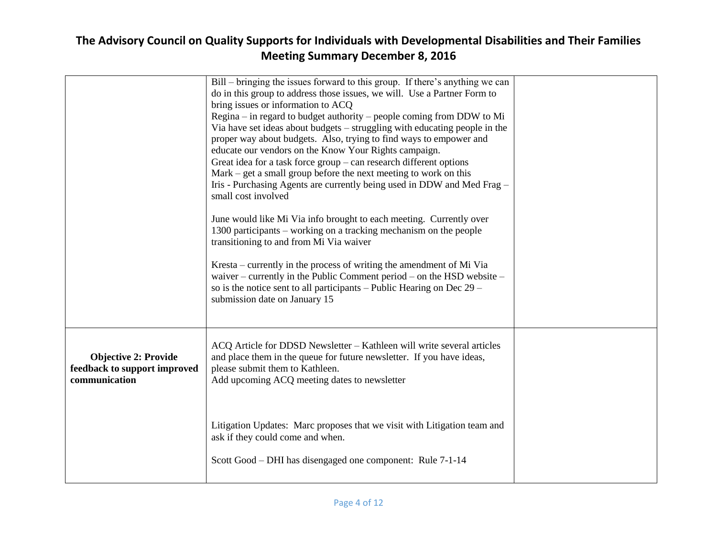|                                                                              | Bill – bringing the issues forward to this group. If there's anything we can<br>do in this group to address those issues, we will. Use a Partner Form to<br>bring issues or information to ACQ<br>Regina – in regard to budget authority – people coming from DDW to Mi<br>Via have set ideas about budgets – struggling with educating people in the<br>proper way about budgets. Also, trying to find ways to empower and<br>educate our vendors on the Know Your Rights campaign.<br>Great idea for a task force $group - can research different options$<br>$Mark - get a small group before the next meeting to work on this$<br>Iris - Purchasing Agents are currently being used in DDW and Med Frag –<br>small cost involved<br>June would like Mi Via info brought to each meeting. Currently over<br>1300 participants – working on a tracking mechanism on the people<br>transitioning to and from Mi Via waiver<br>Kresta – currently in the process of writing the amendment of Mi Via<br>waiver – currently in the Public Comment period – on the HSD website –<br>so is the notice sent to all participants – Public Hearing on Dec $29$ –<br>submission date on January 15 |  |
|------------------------------------------------------------------------------|--------------------------------------------------------------------------------------------------------------------------------------------------------------------------------------------------------------------------------------------------------------------------------------------------------------------------------------------------------------------------------------------------------------------------------------------------------------------------------------------------------------------------------------------------------------------------------------------------------------------------------------------------------------------------------------------------------------------------------------------------------------------------------------------------------------------------------------------------------------------------------------------------------------------------------------------------------------------------------------------------------------------------------------------------------------------------------------------------------------------------------------------------------------------------------------------|--|
| <b>Objective 2: Provide</b><br>feedback to support improved<br>communication | ACQ Article for DDSD Newsletter - Kathleen will write several articles<br>and place them in the queue for future newsletter. If you have ideas,<br>please submit them to Kathleen.<br>Add upcoming ACQ meeting dates to newsletter                                                                                                                                                                                                                                                                                                                                                                                                                                                                                                                                                                                                                                                                                                                                                                                                                                                                                                                                                         |  |
|                                                                              | Litigation Updates: Marc proposes that we visit with Litigation team and<br>ask if they could come and when.<br>Scott Good – DHI has disengaged one component: Rule 7-1-14                                                                                                                                                                                                                                                                                                                                                                                                                                                                                                                                                                                                                                                                                                                                                                                                                                                                                                                                                                                                                 |  |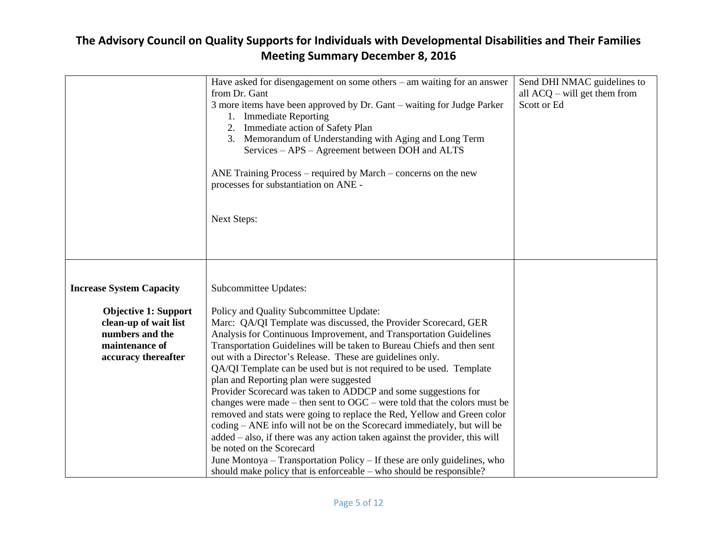|                                 | Have asked for disengagement on some others $-$ am waiting for an answer       | Send DHI NMAC guidelines to    |
|---------------------------------|--------------------------------------------------------------------------------|--------------------------------|
|                                 | from Dr. Gant                                                                  |                                |
|                                 |                                                                                | all $ACQ$ – will get them from |
|                                 | 3 more items have been approved by Dr. Gant – waiting for Judge Parker         | Scott or Ed                    |
|                                 | 1. Immediate Reporting                                                         |                                |
|                                 | 2. Immediate action of Safety Plan                                             |                                |
|                                 | 3. Memorandum of Understanding with Aging and Long Term                        |                                |
|                                 | Services – APS – Agreement between DOH and ALTS                                |                                |
|                                 |                                                                                |                                |
|                                 | ANE Training Process – required by March – concerns on the new                 |                                |
|                                 | processes for substantiation on ANE -                                          |                                |
|                                 |                                                                                |                                |
|                                 |                                                                                |                                |
|                                 | <b>Next Steps:</b>                                                             |                                |
|                                 |                                                                                |                                |
|                                 |                                                                                |                                |
|                                 |                                                                                |                                |
|                                 |                                                                                |                                |
|                                 |                                                                                |                                |
| <b>Increase System Capacity</b> | Subcommittee Updates:                                                          |                                |
|                                 |                                                                                |                                |
| <b>Objective 1: Support</b>     | Policy and Quality Subcommittee Update:                                        |                                |
| clean-up of wait list           | Marc: QA/QI Template was discussed, the Provider Scorecard, GER                |                                |
| numbers and the                 | Analysis for Continuous Improvement, and Transportation Guidelines             |                                |
| maintenance of                  | Transportation Guidelines will be taken to Bureau Chiefs and then sent         |                                |
| accuracy thereafter             | out with a Director's Release. These are guidelines only.                      |                                |
|                                 | QA/QI Template can be used but is not required to be used. Template            |                                |
|                                 | plan and Reporting plan were suggested                                         |                                |
|                                 | Provider Scorecard was taken to ADDCP and some suggestions for                 |                                |
|                                 | changes were made – then sent to $OGC$ – were told that the colors must be     |                                |
|                                 | removed and stats were going to replace the Red, Yellow and Green color        |                                |
|                                 | coding – ANE info will not be on the Scorecard immediately, but will be        |                                |
|                                 | $added - also$ , if there was any action taken against the provider, this will |                                |
|                                 | be noted on the Scorecard                                                      |                                |
|                                 | June Montoya – Transportation Policy – If these are only guidelines, who       |                                |
|                                 | should make policy that is enforceable – who should be responsible?            |                                |
|                                 |                                                                                |                                |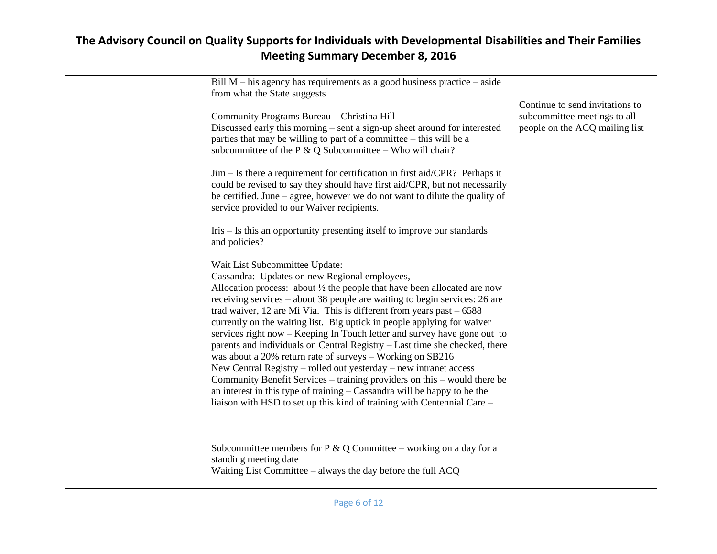| Bill $M$ – his agency has requirements as a good business practice – aside<br>from what the State suggests                                                                                                                                                                                                                                                                                                                                                                                                                                                                                                                                                                                                                                                                                                                                                                                                                              |                                                                                                   |
|-----------------------------------------------------------------------------------------------------------------------------------------------------------------------------------------------------------------------------------------------------------------------------------------------------------------------------------------------------------------------------------------------------------------------------------------------------------------------------------------------------------------------------------------------------------------------------------------------------------------------------------------------------------------------------------------------------------------------------------------------------------------------------------------------------------------------------------------------------------------------------------------------------------------------------------------|---------------------------------------------------------------------------------------------------|
| Community Programs Bureau - Christina Hill<br>Discussed early this morning – sent a sign-up sheet around for interested<br>parties that may be willing to part of a committee – this will be a<br>subcommittee of the P $& Q$ Subcommittee – Who will chair?                                                                                                                                                                                                                                                                                                                                                                                                                                                                                                                                                                                                                                                                            | Continue to send invitations to<br>subcommittee meetings to all<br>people on the ACQ mailing list |
| $\text{Jim} - \text{Is}$ there a requirement for <u>certification</u> in first aid/CPR? Perhaps it<br>could be revised to say they should have first aid/CPR, but not necessarily<br>be certified. June – agree, however we do not want to dilute the quality of<br>service provided to our Waiver recipients.                                                                                                                                                                                                                                                                                                                                                                                                                                                                                                                                                                                                                          |                                                                                                   |
| $Iris - Is this$ an opportunity presenting itself to improve our standards<br>and policies?                                                                                                                                                                                                                                                                                                                                                                                                                                                                                                                                                                                                                                                                                                                                                                                                                                             |                                                                                                   |
| Wait List Subcommittee Update:<br>Cassandra: Updates on new Regional employees,<br>Allocation process: about $\frac{1}{2}$ the people that have been allocated are now<br>receiving services – about 38 people are waiting to begin services: 26 are<br>trad waiver, 12 are Mi Via. This is different from years past $-6588$<br>currently on the waiting list. Big uptick in people applying for waiver<br>services right now – Keeping In Touch letter and survey have gone out to<br>parents and individuals on Central Registry – Last time she checked, there<br>was about a 20% return rate of surveys - Working on SB216<br>New Central Registry – rolled out yesterday – new intranet access<br>Community Benefit Services - training providers on this - would there be<br>an interest in this type of training – Cassandra will be happy to be the<br>liaison with HSD to set up this kind of training with Centennial Care - |                                                                                                   |
| Subcommittee members for $P \& Q$ Committee – working on a day for a<br>standing meeting date<br>Waiting List Committee – always the day before the full ACQ                                                                                                                                                                                                                                                                                                                                                                                                                                                                                                                                                                                                                                                                                                                                                                            |                                                                                                   |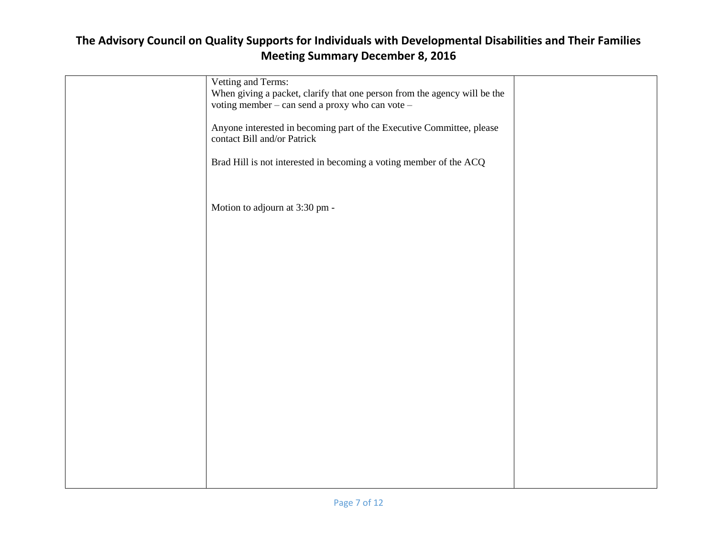| Vetting and Terms:                                                        |  |
|---------------------------------------------------------------------------|--|
|                                                                           |  |
| When giving a packet, clarify that one person from the agency will be the |  |
| voting member - can send a proxy who can vote -                           |  |
|                                                                           |  |
|                                                                           |  |
| Anyone interested in becoming part of the Executive Committee, please     |  |
| contact Bill and/or Patrick                                               |  |
|                                                                           |  |
|                                                                           |  |
| Brad Hill is not interested in becoming a voting member of the ACQ        |  |
|                                                                           |  |
|                                                                           |  |
|                                                                           |  |
|                                                                           |  |
| Motion to adjourn at 3:30 pm -                                            |  |
|                                                                           |  |
|                                                                           |  |
|                                                                           |  |
|                                                                           |  |
|                                                                           |  |
|                                                                           |  |
|                                                                           |  |
|                                                                           |  |
|                                                                           |  |
|                                                                           |  |
|                                                                           |  |
|                                                                           |  |
|                                                                           |  |
|                                                                           |  |
|                                                                           |  |
|                                                                           |  |
|                                                                           |  |
|                                                                           |  |
|                                                                           |  |
|                                                                           |  |
|                                                                           |  |
|                                                                           |  |
|                                                                           |  |
|                                                                           |  |
|                                                                           |  |
|                                                                           |  |
|                                                                           |  |
|                                                                           |  |
|                                                                           |  |
|                                                                           |  |
|                                                                           |  |